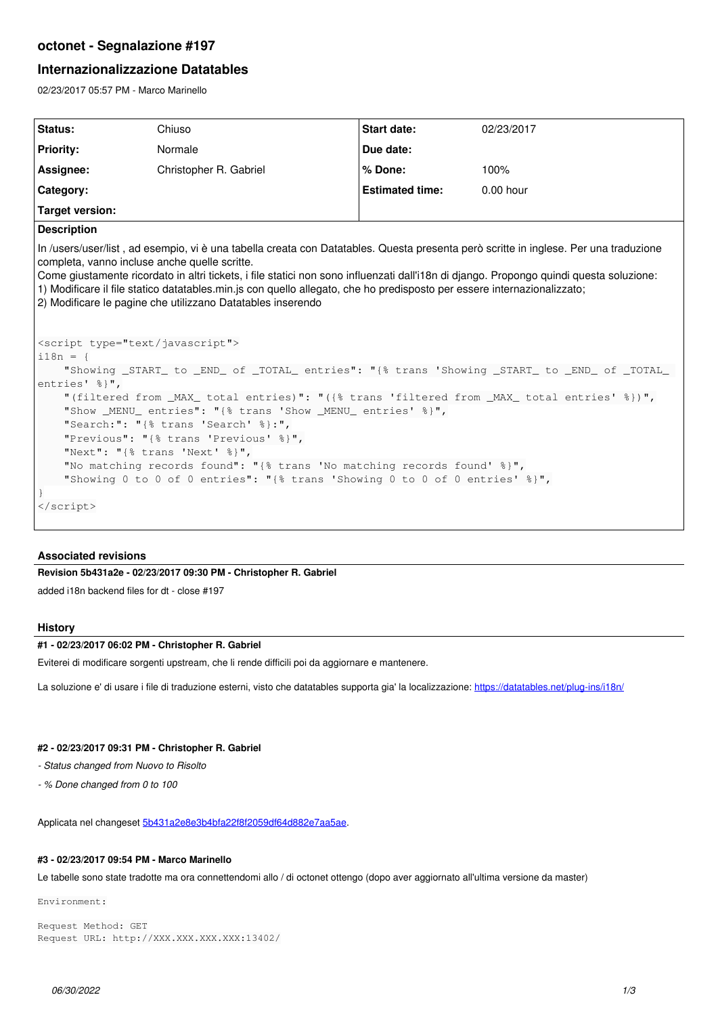# **octonet - Segnalazione #197**

## **Internazionalizzazione Datatables**

02/23/2017 05:57 PM - Marco Marinello

| <b>Status:</b>                                                                                                                                                                                                                                                                                                                                                                                                                                                                                                                                                                                                                                                                                                                                                                                                                                                                                                                                                                                                                                                                                                         | Chiuso                 | <b>Start date:</b>     | 02/23/2017  |
|------------------------------------------------------------------------------------------------------------------------------------------------------------------------------------------------------------------------------------------------------------------------------------------------------------------------------------------------------------------------------------------------------------------------------------------------------------------------------------------------------------------------------------------------------------------------------------------------------------------------------------------------------------------------------------------------------------------------------------------------------------------------------------------------------------------------------------------------------------------------------------------------------------------------------------------------------------------------------------------------------------------------------------------------------------------------------------------------------------------------|------------------------|------------------------|-------------|
| <b>Priority:</b>                                                                                                                                                                                                                                                                                                                                                                                                                                                                                                                                                                                                                                                                                                                                                                                                                                                                                                                                                                                                                                                                                                       | Normale                | Due date:              |             |
| Assignee:                                                                                                                                                                                                                                                                                                                                                                                                                                                                                                                                                                                                                                                                                                                                                                                                                                                                                                                                                                                                                                                                                                              | Christopher R. Gabriel | % Done:                | 100%        |
| Category:                                                                                                                                                                                                                                                                                                                                                                                                                                                                                                                                                                                                                                                                                                                                                                                                                                                                                                                                                                                                                                                                                                              |                        | <b>Estimated time:</b> | $0.00$ hour |
| <b>Target version:</b>                                                                                                                                                                                                                                                                                                                                                                                                                                                                                                                                                                                                                                                                                                                                                                                                                                                                                                                                                                                                                                                                                                 |                        |                        |             |
| <b>Description</b>                                                                                                                                                                                                                                                                                                                                                                                                                                                                                                                                                                                                                                                                                                                                                                                                                                                                                                                                                                                                                                                                                                     |                        |                        |             |
| completa, vanno incluse anche quelle scritte.<br>Come giustamente ricordato in altri tickets, i file statici non sono influenzati dall'i18n di django. Propongo quindi questa soluzione:<br>1) Modificare il file statico datatables.min.js con quello allegato, che ho predisposto per essere internazionalizzato;<br>2) Modificare le pagine che utilizzano Datatables inserendo<br><script type="text/javascript"></th></tr><tr><td colspan=4><math>i18n = 1</math></td></tr><tr><td colspan=4>"Showing _START_ to _END_ of _TOTAL_ entries": "{% trans 'Showing _START_ to _END_ of _TOTAL_</td></tr><tr><td colspan=4>entries' %}",</td></tr><tr><td colspan=4>"(filtered from _MAX_ total entries)": "({% trans 'filtered from _MAX_ total entries' %})",<br>"Show _MENU_ entries": "{% trans 'Show _MENU_ entries' %}",<br>"Search:": "{% trans 'Search' %}:",<br>"Previous": "{% trans 'Previous' %}",<br>"Next": "{% trans 'Next' %}",<br>"No matching records found": "{% trans 'No matching records found' %}",<br>"Showing 0 to 0 of 0 entries": "{% trans 'Showing 0 to 0 of 0 entries' %}",<br></script> |                        |                        |             |

### **Associated revisions**

**Revision 5b431a2e - 02/23/2017 09:30 PM - Christopher R. Gabriel**

added i18n backend files for dt - close #197

### **History**

### **#1 - 02/23/2017 06:02 PM - Christopher R. Gabriel**

Eviterei di modificare sorgenti upstream, che li rende difficili poi da aggiornare e mantenere.

La soluzione e' di usare i file di traduzione esterni, visto che datatables supporta gia' la localizzazione: <https://datatables.net/plug-ins/i18n/>

#### **#2 - 02/23/2017 09:31 PM - Christopher R. Gabriel**

*- Status changed from Nuovo to Risolto*

*- % Done changed from 0 to 100*

Applicata nel changeset [5b431a2e8e3b4bfa22f8f2059df64d882e7aa5ae](https://work.fuss.bz.it/projects/octonet/repository/revisions/5b431a2e8e3b4bfa22f8f2059df64d882e7aa5ae).

#### **#3 - 02/23/2017 09:54 PM - Marco Marinello**

Le tabelle sono state tradotte ma ora connettendomi allo / di octonet ottengo (dopo aver aggiornato all'ultima versione da master)

Environment:

```
Request Method: GET
Request URL: http://XXX.XXX.XXX.XXX:13402/
```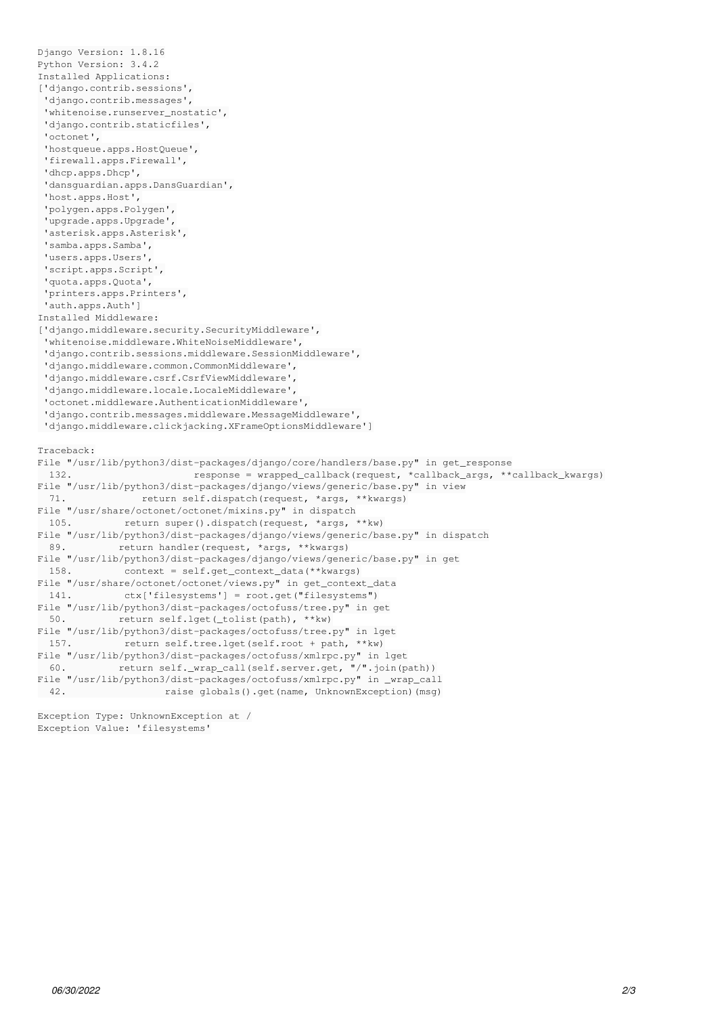```
Django Version: 1.8.16
Python Version: 3.4.2
Installed Applications:
['django.contrib.sessions',
  'django.contrib.messages',
  'whitenoise.runserver_nostatic',
  'django.contrib.staticfiles',
  'octonet',
  'hostqueue.apps.HostQueue',
  'firewall.apps.Firewall',
  'dhcp.apps.Dhcp',
  'dansguardian.apps.DansGuardian',
  'host.apps.Host',
  'polygen.apps.Polygen',
  'upgrade.apps.Upgrade',
  'asterisk.apps.Asterisk',
  'samba.apps.Samba',
  'users.apps.Users',
  'script.apps.Script',
  'quota.apps.Quota',
  'printers.apps.Printers',
  'auth.apps.Auth']
Installed Middleware:
['django.middleware.security.SecurityMiddleware',
  'whitenoise.middleware.WhiteNoiseMiddleware',
  'django.contrib.sessions.middleware.SessionMiddleware',
  'django.middleware.common.CommonMiddleware',
  'django.middleware.csrf.CsrfViewMiddleware',
  'django.middleware.locale.LocaleMiddleware',
  'octonet.middleware.AuthenticationMiddleware',
  'django.contrib.messages.middleware.MessageMiddleware',
  'django.middleware.clickjacking.XFrameOptionsMiddleware']
Traceback:
File "/usr/lib/python3/dist-packages/django/core/handlers/base.py" in get_response
   132.                     response = wrapped_callback(request, *callback_args, **callback_kwargs)
File "/usr/lib/python3/dist-packages/django/views/generic/base.py" in view
   71.             return self.dispatch(request, *args, **kwargs)
File "/usr/share/octonet/octonet/mixins.py" in dispatch
   105.         return super().dispatch(request, *args, **kw)
File "/usr/lib/python3/dist-packages/django/views/generic/base.py" in dispatch
 89.                        return handler(request, *args, **kwargs)
File "/usr/lib/python3/dist-packages/django/views/generic/base.py" in get
   158.         context = self.get_context_data(**kwargs)
File "/usr/share/octonet/octonet/views.py" in get_context_data
   141.         ctx['filesystems'] = root.get("filesystems")
File "/usr/lib/python3/dist-packages/octofuss/tree.py" in get
   50.         return self.lget(_tolist(path), **kw)
File "/usr/lib/python3/dist-packages/octofuss/tree.py" in lget
    157.         return self.tree.lget(self.root + path, **kw)
File "/usr/lib/python3/dist-packages/octofuss/xmlrpc.py" in lget
   60.         return self._wrap_call(self.server.get, "/".join(path))
File "/usr/lib/python3/dist-packages/octofuss/xmlrpc.py" in _wrap_call
  42.                 raise globals().get(name, UnknownException)(msg)
```
Exception Type: UnknownException at / Exception Value: 'filesystems'